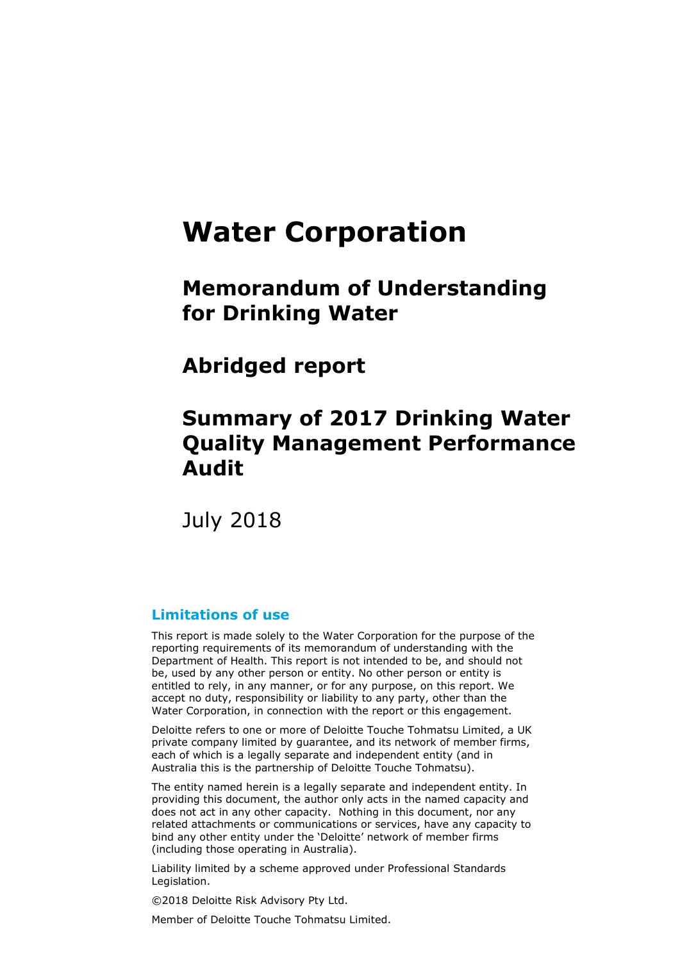# **Water Corporation**

# **Memorandum of Understanding for Drinking Water**

**Abridged report**

# **Summary of 2017 Drinking Water Quality Management Performance Audit**

July 2018

### **Limitations of use**

This report is made solely to the Water Corporation for the purpose of the reporting requirements of its memorandum of understanding with the Department of Health. This report is not intended to be, and should not be, used by any other person or entity. No other person or entity is entitled to rely, in any manner, or for any purpose, on this report. We accept no duty, responsibility or liability to any party, other than the Water Corporation, in connection with the report or this engagement.

Deloitte refers to one or more of Deloitte Touche Tohmatsu Limited, a UK private company limited by guarantee, and its network of member firms, each of which is a legally separate and independent entity (and in Australia this is the partnership of Deloitte Touche Tohmatsu).

The entity named herein is a legally separate and independent entity. In providing this document, the author only acts in the named capacity and does not act in any other capacity. Nothing in this document, nor any related attachments or communications or services, have any capacity to bind any other entity under the 'Deloitte' network of member firms (including those operating in Australia).

Liability limited by a scheme approved under Professional Standards Legislation.

©2018 Deloitte Risk Advisory Pty Ltd.

Member of Deloitte Touche Tohmatsu Limited.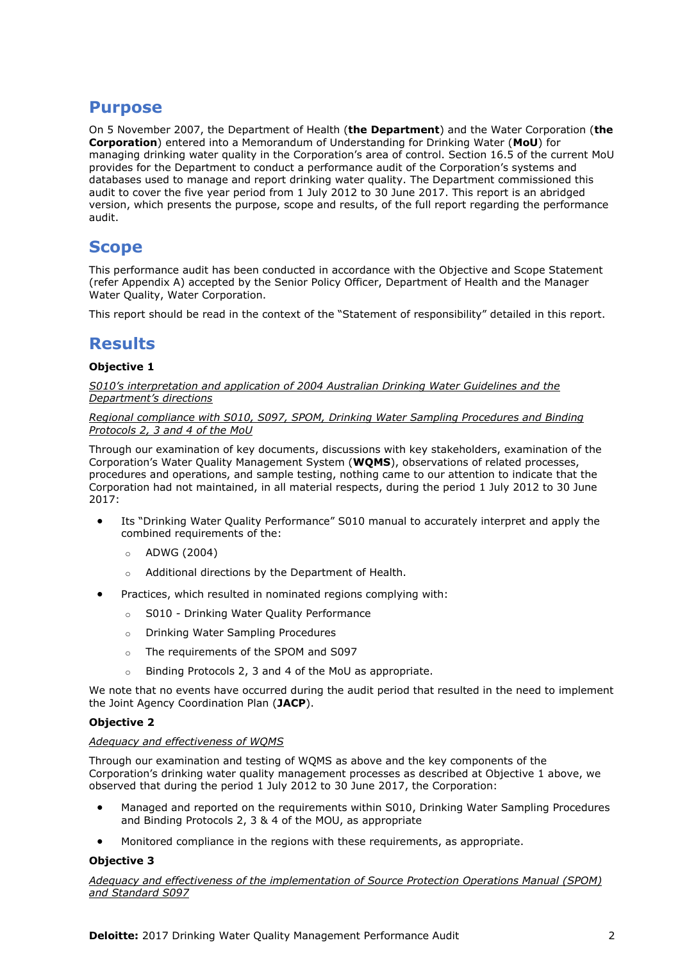## **Purpose**

On 5 November 2007, the Department of Health (**the Department**) and the Water Corporation (**the Corporation**) entered into a Memorandum of Understanding for Drinking Water (**MoU**) for managing drinking water quality in the Corporation's area of control. Section 16.5 of the current MoU provides for the Department to conduct a performance audit of the Corporation's systems and databases used to manage and report drinking water quality. The Department commissioned this audit to cover the five year period from 1 July 2012 to 30 June 2017. This report is an abridged version, which presents the purpose, scope and results, of the full report regarding the performance audit.

## **Scope**

This performance audit has been conducted in accordance with the Objective and Scope Statement (refer Appendix A) accepted by the Senior Policy Officer, Department of Health and the Manager Water Quality, Water Corporation.

This report should be read in the context of the "Statement of responsibility" detailed in this report.

## **Results**

#### **Objective 1**

*S010's interpretation and application of 2004 Australian Drinking Water Guidelines and the Department's directions*

#### *Regional compliance with S010, S097, SPOM, Drinking Water Sampling Procedures and Binding Protocols 2, 3 and 4 of the MoU*

Through our examination of key documents, discussions with key stakeholders, examination of the Corporation's Water Quality Management System (**WQMS**), observations of related processes, procedures and operations, and sample testing, nothing came to our attention to indicate that the Corporation had not maintained, in all material respects, during the period 1 July 2012 to 30 June 2017:

- Its "Drinking Water Quality Performance" S010 manual to accurately interpret and apply the combined requirements of the:
	- o ADWG (2004)
	- o Additional directions by the Department of Health.
- Practices, which resulted in nominated regions complying with:
	- o S010 Drinking Water Quality Performance
	- o Drinking Water Sampling Procedures
	- o The requirements of the SPOM and S097
	- o Binding Protocols 2, 3 and 4 of the MoU as appropriate.

We note that no events have occurred during the audit period that resulted in the need to implement the Joint Agency Coordination Plan (**JACP**).

#### **Objective 2**

#### *Adequacy and effectiveness of WQMS*

Through our examination and testing of WQMS as above and the key components of the Corporation's drinking water quality management processes as described at Objective 1 above, we observed that during the period 1 July 2012 to 30 June 2017, the Corporation:

- Managed and reported on the requirements within S010, Drinking Water Sampling Procedures and Binding Protocols 2, 3 & 4 of the MOU, as appropriate
- Monitored compliance in the regions with these requirements, as appropriate.

#### **Objective 3**

*Adequacy and effectiveness of the implementation of Source Protection Operations Manual (SPOM) and Standard S097*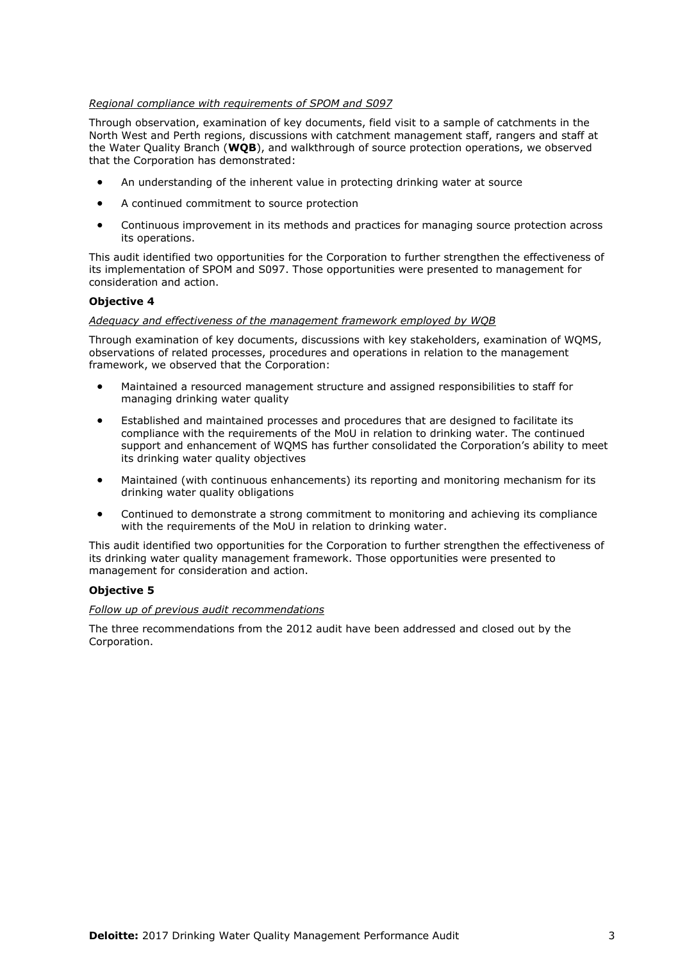#### *Regional compliance with requirements of SPOM and S097*

Through observation, examination of key documents, field visit to a sample of catchments in the North West and Perth regions, discussions with catchment management staff, rangers and staff at the Water Quality Branch (**WQB**), and walkthrough of source protection operations, we observed that the Corporation has demonstrated:

- An understanding of the inherent value in protecting drinking water at source
- A continued commitment to source protection
- Continuous improvement in its methods and practices for managing source protection across its operations.

This audit identified two opportunities for the Corporation to further strengthen the effectiveness of its implementation of SPOM and S097. Those opportunities were presented to management for consideration and action.

#### **Objective 4**

#### *Adequacy and effectiveness of the management framework employed by WQB*

Through examination of key documents, discussions with key stakeholders, examination of WQMS, observations of related processes, procedures and operations in relation to the management framework, we observed that the Corporation:

- Maintained a resourced management structure and assigned responsibilities to staff for managing drinking water quality
- Established and maintained processes and procedures that are designed to facilitate its compliance with the requirements of the MoU in relation to drinking water. The continued support and enhancement of WQMS has further consolidated the Corporation's ability to meet its drinking water quality objectives
- Maintained (with continuous enhancements) its reporting and monitoring mechanism for its drinking water quality obligations
- Continued to demonstrate a strong commitment to monitoring and achieving its compliance with the requirements of the MoU in relation to drinking water.

This audit identified two opportunities for the Corporation to further strengthen the effectiveness of its drinking water quality management framework. Those opportunities were presented to management for consideration and action.

#### **Objective 5**

#### *Follow up of previous audit recommendations*

The three recommendations from the 2012 audit have been addressed and closed out by the Corporation.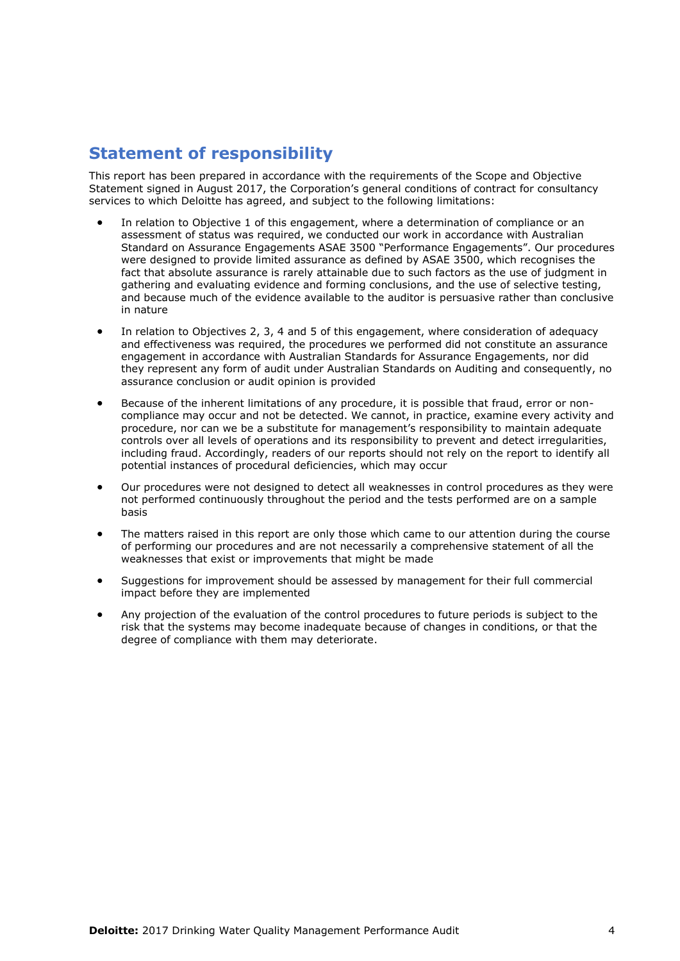# **Statement of responsibility**

This report has been prepared in accordance with the requirements of the Scope and Objective Statement signed in August 2017, the Corporation's general conditions of contract for consultancy services to which Deloitte has agreed, and subject to the following limitations:

- In relation to Objective 1 of this engagement, where a determination of compliance or an assessment of status was required, we conducted our work in accordance with Australian Standard on Assurance Engagements ASAE 3500 "Performance Engagements". Our procedures were designed to provide limited assurance as defined by ASAE 3500, which recognises the fact that absolute assurance is rarely attainable due to such factors as the use of judgment in gathering and evaluating evidence and forming conclusions, and the use of selective testing, and because much of the evidence available to the auditor is persuasive rather than conclusive in nature
- In relation to Objectives 2, 3, 4 and 5 of this engagement, where consideration of adequacy and effectiveness was required, the procedures we performed did not constitute an assurance engagement in accordance with Australian Standards for Assurance Engagements, nor did they represent any form of audit under Australian Standards on Auditing and consequently, no assurance conclusion or audit opinion is provided
- Because of the inherent limitations of any procedure, it is possible that fraud, error or noncompliance may occur and not be detected. We cannot, in practice, examine every activity and procedure, nor can we be a substitute for management's responsibility to maintain adequate controls over all levels of operations and its responsibility to prevent and detect irregularities, including fraud. Accordingly, readers of our reports should not rely on the report to identify all potential instances of procedural deficiencies, which may occur
- Our procedures were not designed to detect all weaknesses in control procedures as they were not performed continuously throughout the period and the tests performed are on a sample basis
- The matters raised in this report are only those which came to our attention during the course of performing our procedures and are not necessarily a comprehensive statement of all the weaknesses that exist or improvements that might be made
- Suggestions for improvement should be assessed by management for their full commercial impact before they are implemented
- Any projection of the evaluation of the control procedures to future periods is subject to the risk that the systems may become inadequate because of changes in conditions, or that the degree of compliance with them may deteriorate.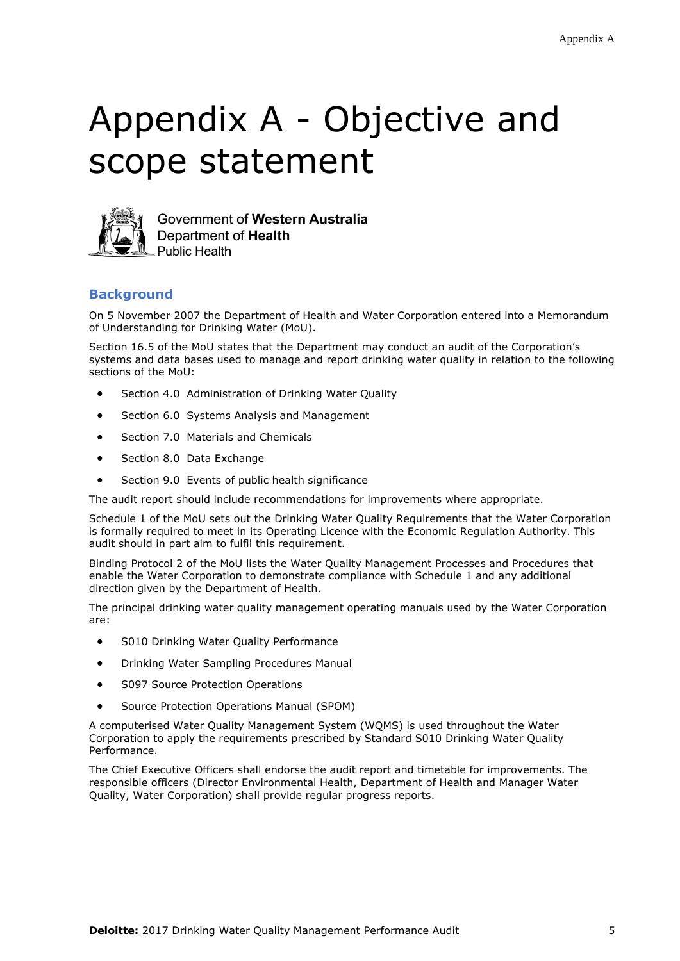# Appendix A - Objective and scope statement



Government of Western Australia Department of Health **Public Health** 

#### **Background**

On 5 November 2007 the Department of Health and Water Corporation entered into a Memorandum of Understanding for Drinking Water (MoU).

Section 16.5 of the MoU states that the Department may conduct an audit of the Corporation's systems and data bases used to manage and report drinking water quality in relation to the following sections of the MoU:

- Section 4.0 Administration of Drinking Water Quality
- Section 6.0 Systems Analysis and Management
- Section 7.0 Materials and Chemicals
- Section 8.0 Data Exchange
- Section 9.0 Events of public health significance

The audit report should include recommendations for improvements where appropriate.

Schedule 1 of the MoU sets out the Drinking Water Quality Requirements that the Water Corporation is formally required to meet in its Operating Licence with the Economic Regulation Authority. This audit should in part aim to fulfil this requirement.

Binding Protocol 2 of the MoU lists the Water Quality Management Processes and Procedures that enable the Water Corporation to demonstrate compliance with Schedule 1 and any additional direction given by the Department of Health.

The principal drinking water quality management operating manuals used by the Water Corporation are:

- **S010 Drinking Water Quality Performance**
- Drinking Water Sampling Procedures Manual
- S097 Source Protection Operations
- Source Protection Operations Manual (SPOM)

A computerised Water Quality Management System (WQMS) is used throughout the Water Corporation to apply the requirements prescribed by Standard S010 Drinking Water Quality Performance.

The Chief Executive Officers shall endorse the audit report and timetable for improvements. The responsible officers (Director Environmental Health, Department of Health and Manager Water Quality, Water Corporation) shall provide regular progress reports.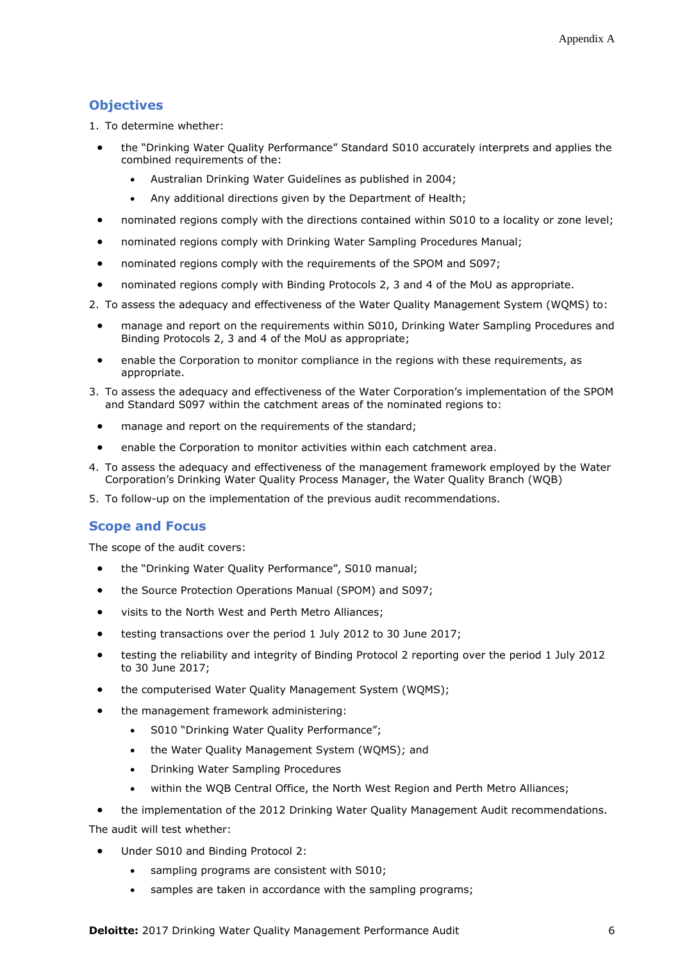#### **Objectives**

1. To determine whether:

- the "Drinking Water Quality Performance" Standard S010 accurately interprets and applies the combined requirements of the:
	- Australian Drinking Water Guidelines as published in 2004;
	- Any additional directions given by the Department of Health;
- nominated regions comply with the directions contained within S010 to a locality or zone level;
- nominated regions comply with Drinking Water Sampling Procedures Manual;
- nominated regions comply with the requirements of the SPOM and S097;
- nominated regions comply with Binding Protocols 2, 3 and 4 of the MoU as appropriate.
- 2. To assess the adequacy and effectiveness of the Water Quality Management System (WQMS) to:
	- manage and report on the requirements within S010, Drinking Water Sampling Procedures and Binding Protocols 2, 3 and 4 of the MoU as appropriate;
	- enable the Corporation to monitor compliance in the regions with these requirements, as appropriate.
- 3. To assess the adequacy and effectiveness of the Water Corporation's implementation of the SPOM and Standard S097 within the catchment areas of the nominated regions to:
	- manage and report on the requirements of the standard;
	- enable the Corporation to monitor activities within each catchment area.
- 4. To assess the adequacy and effectiveness of the management framework employed by the Water Corporation's Drinking Water Quality Process Manager, the Water Quality Branch (WQB)
- 5. To follow-up on the implementation of the previous audit recommendations.

#### **Scope and Focus**

The scope of the audit covers:

- the "Drinking Water Quality Performance", S010 manual;
- the Source Protection Operations Manual (SPOM) and S097;
- visits to the North West and Perth Metro Alliances;
- testing transactions over the period 1 July 2012 to 30 June 2017;
- testing the reliability and integrity of Binding Protocol 2 reporting over the period 1 July 2012 to 30 June 2017;
- the computerised Water Quality Management System (WQMS);
- the management framework administering:
	- S010 "Drinking Water Quality Performance";
	- the Water Quality Management System (WQMS); and
	- Drinking Water Sampling Procedures
	- within the WQB Central Office, the North West Region and Perth Metro Alliances;
- the implementation of the 2012 Drinking Water Quality Management Audit recommendations.

The audit will test whether:

- Under S010 and Binding Protocol 2:
	- sampling programs are consistent with S010;
	- samples are taken in accordance with the sampling programs;